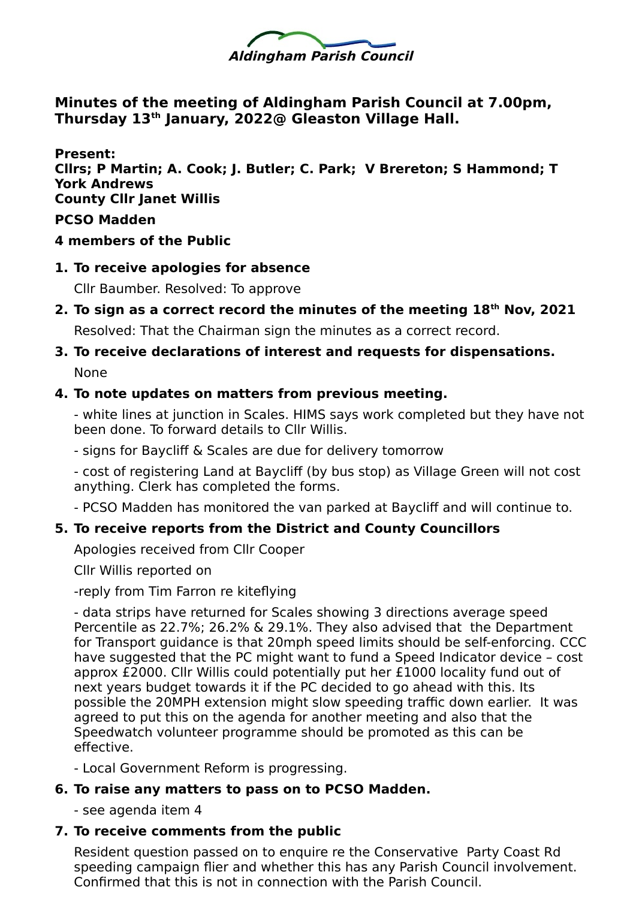

**Minutes of the meeting of Aldingham Parish Council at 7.00pm, Thursday 13th January, 2022@ Gleaston Village Hall.**

**Present: Cllrs; P Martin; A. Cook; J. Butler; C. Park; V Brereton; S Hammond; T York Andrews County Cllr Janet Willis PCSO Madden**

- **4 members of the Public**
- **1. To receive apologies for absence**

Cllr Baumber. Resolved: To approve

**2. To sign as a correct record the minutes of the meeting 18th Nov, 2021**

Resolved: That the Chairman sign the minutes as a correct record.

**3. To receive declarations of interest and requests for dispensations.**  None

#### **4. To note updates on matters from previous meeting.**

- white lines at junction in Scales. HIMS says work completed but they have not been done. To forward details to Cllr Willis.

- signs for Baycliff & Scales are due for delivery tomorrow

- cost of registering Land at Baycliff (by bus stop) as Village Green will not cost anything. Clerk has completed the forms.

- PCSO Madden has monitored the van parked at Baycliff and will continue to.

### **5. To receive reports from the District and County Councillors**

Apologies received from Cllr Cooper

Cllr Willis reported on

-reply from Tim Farron re kiteflying

- data strips have returned for Scales showing 3 directions average speed Percentile as 22.7%; 26.2% & 29.1%. They also advised that the Department for Transport guidance is that 20mph speed limits should be self-enforcing. CCC have suggested that the PC might want to fund a Speed Indicator device – cost approx £2000. Cllr Willis could potentially put her £1000 locality fund out of next years budget towards it if the PC decided to go ahead with this. Its possible the 20MPH extension might slow speeding traffic down earlier. It was agreed to put this on the agenda for another meeting and also that the Speedwatch volunteer programme should be promoted as this can be effective.

- Local Government Reform is progressing.

### **6. To raise any matters to pass on to PCSO Madden.**

- see agenda item 4

### **7. To receive comments from the public**

Resident question passed on to enquire re the Conservative Party Coast Rd speeding campaign flier and whether this has any Parish Council involvement. Confirmed that this is not in connection with the Parish Council.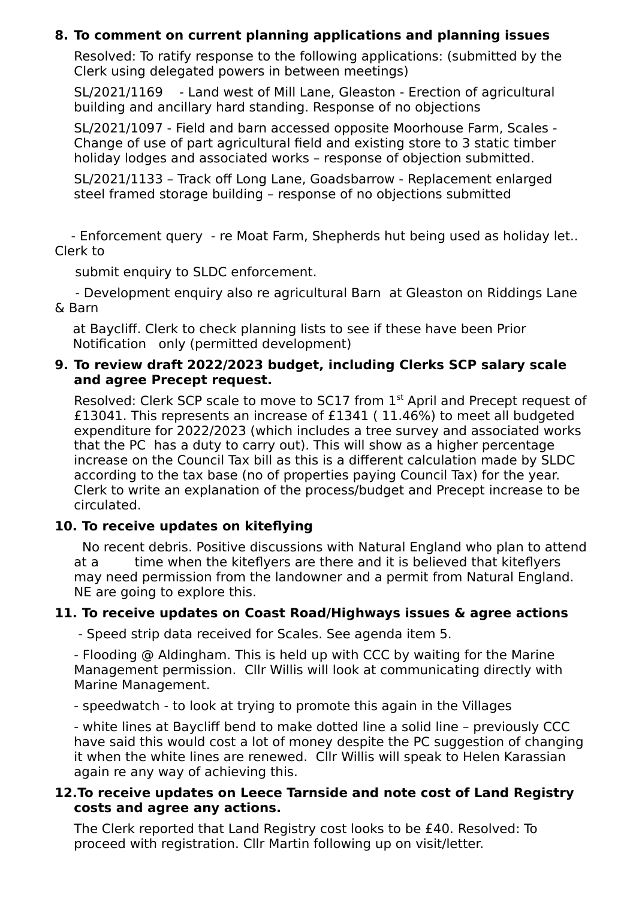## **8. To comment on current planning applications and planning issues**

Resolved: To ratify response to the following applications: (submitted by the Clerk using delegated powers in between meetings)

SL/2021/1169 - Land west of Mill Lane, Gleaston - Erection of agricultural building and ancillary hard standing. Response of no objections

SL/2021/1097 - Field and barn accessed opposite Moorhouse Farm, Scales - Change of use of part agricultural field and existing store to 3 static timber holiday lodges and associated works – response of objection submitted.

SL/2021/1133 – Track off Long Lane, Goadsbarrow - Replacement enlarged steel framed storage building – response of no objections submitted

 - Enforcement query - re Moat Farm, Shepherds hut being used as holiday let.. Clerk to

submit enquiry to SLDC enforcement.

 - Development enquiry also re agricultural Barn at Gleaston on Riddings Lane & Barn

at Baycliff. Clerk to check planning lists to see if these have been Prior Notification only (permitted development)

### **9. To review draft 2022/2023 budget, including Clerks SCP salary scale and agree Precept request.**

Resolved: Clerk SCP scale to move to SC17 from 1<sup>st</sup> April and Precept request of £13041. This represents an increase of £1341 ( 11.46%) to meet all budgeted expenditure for 2022/2023 (which includes a tree survey and associated works that the PC has a duty to carry out). This will show as a higher percentage increase on the Council Tax bill as this is a different calculation made by SLDC according to the tax base (no of properties paying Council Tax) for the year. Clerk to write an explanation of the process/budget and Precept increase to be circulated.

### **10. To receive updates on kiteflying**

 No recent debris. Positive discussions with Natural England who plan to attend at a time when the kiteflyers are there and it is believed that kiteflyers may need permission from the landowner and a permit from Natural England. NE are going to explore this.

### **11. To receive updates on Coast Road/Highways issues & agree actions**

- Speed strip data received for Scales. See agenda item 5.

- Flooding @ Aldingham. This is held up with CCC by waiting for the Marine Management permission. Cllr Willis will look at communicating directly with Marine Management.

- speedwatch - to look at trying to promote this again in the Villages

- white lines at Baycliff bend to make dotted line a solid line – previously CCC have said this would cost a lot of money despite the PC suggestion of changing it when the white lines are renewed. Cllr Willis will speak to Helen Karassian again re any way of achieving this.

### **12.To receive updates on Leece Tarnside and note cost of Land Registry costs and agree any actions.**

The Clerk reported that Land Registry cost looks to be £40. Resolved: To proceed with registration. Cllr Martin following up on visit/letter.